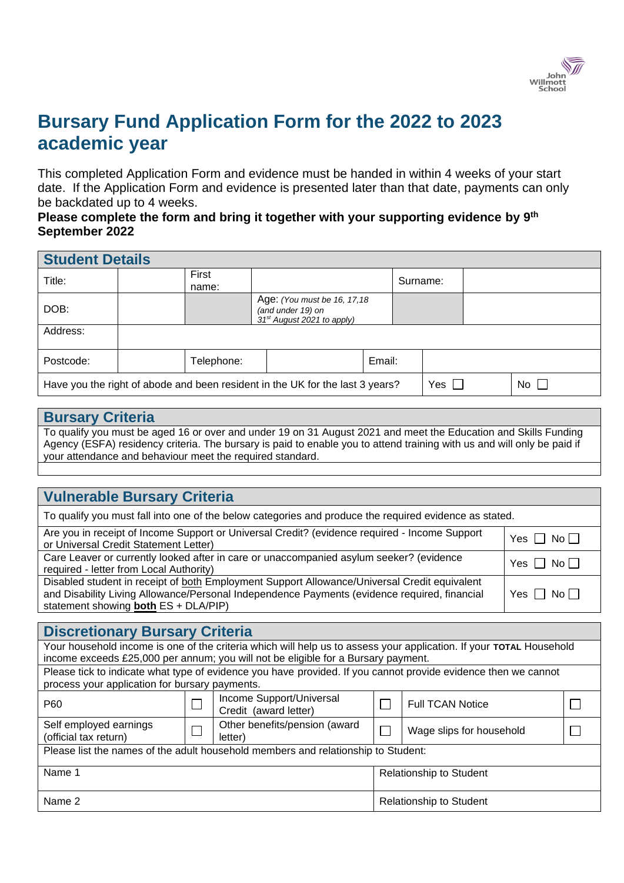

# **Bursary Fund Application Form for the 2022 to 2023 academic year**

This completed Application Form and evidence must be handed in within 4 weeks of your start date. If the Application Form and evidence is presented later than that date, payments can only be backdated up to 4 weeks.

## **Please complete the form and bring it together with your supporting evidence by 9 th September 2022**

| <b>Student Details</b>                                                                                  |  |                |                                                                                              |        |          |  |  |  |
|---------------------------------------------------------------------------------------------------------|--|----------------|----------------------------------------------------------------------------------------------|--------|----------|--|--|--|
| Title:                                                                                                  |  | First<br>name: |                                                                                              |        | Surname: |  |  |  |
| DOB:                                                                                                    |  |                | Age: (You must be 16, 17, 18)<br>(and under 19) on<br>31 <sup>st</sup> August 2021 to apply) |        |          |  |  |  |
| Address:                                                                                                |  |                |                                                                                              |        |          |  |  |  |
| Postcode:                                                                                               |  | Telephone:     |                                                                                              | Email: |          |  |  |  |
| $No$    <br>Yes $\Box$<br>Have you the right of abode and been resident in the UK for the last 3 years? |  |                |                                                                                              |        |          |  |  |  |

### **Bursary Criteria**

To qualify you must be aged 16 or over and under 19 on 31 August 2021 and meet the Education and Skills Funding Agency (ESFA) residency criteria. The bursary is paid to enable you to attend training with us and will only be paid if your attendance and behaviour meet the required standard.

## **Vulnerable Bursary Criteria**

|  |  |  |  | To qualify you must fall into one of the below categories and produce the required evidence as stated. |  |  |  |  |
|--|--|--|--|--------------------------------------------------------------------------------------------------------|--|--|--|--|
|  |  |  |  |                                                                                                        |  |  |  |  |
|  |  |  |  |                                                                                                        |  |  |  |  |
|  |  |  |  |                                                                                                        |  |  |  |  |

| Are you in receipt of Income Support or Universal Credit? (evidence required - Income Support<br>or Universal Credit Statement Letter)                                                                                               | Yes $\Box$ No $\Box$ |
|--------------------------------------------------------------------------------------------------------------------------------------------------------------------------------------------------------------------------------------|----------------------|
| Care Leaver or currently looked after in care or unaccompanied asylum seeker? (evidence<br>required - letter from Local Authority)                                                                                                   | Yes $\Box$ No $\Box$ |
| Disabled student in receipt of both Employment Support Allowance/Universal Credit equivalent<br>and Disability Living Allowance/Personal Independence Payments (evidence required, financial<br>statement showing both ES + DLA/PIP) | Yes $\Box$ No $\Box$ |

| <b>Discretionary Bursary Criteria</b>                                                                               |  |                                                                                                                |                         |                          |  |  |  |
|---------------------------------------------------------------------------------------------------------------------|--|----------------------------------------------------------------------------------------------------------------|-------------------------|--------------------------|--|--|--|
| Your household income is one of the criteria which will help us to assess your application. If your TOTAL Household |  |                                                                                                                |                         |                          |  |  |  |
|                                                                                                                     |  | income exceeds £25,000 per annum; you will not be eligible for a Bursary payment.                              |                         |                          |  |  |  |
|                                                                                                                     |  | Please tick to indicate what type of evidence you have provided. If you cannot provide evidence then we cannot |                         |                          |  |  |  |
| process your application for bursary payments.                                                                      |  |                                                                                                                |                         |                          |  |  |  |
| P <sub>60</sub>                                                                                                     |  | Income Support/Universal<br>Credit (award letter)                                                              | <b>Full TCAN Notice</b> |                          |  |  |  |
| Self employed earnings<br>(official tax return)                                                                     |  | Other benefits/pension (award<br>letter)                                                                       |                         | Wage slips for household |  |  |  |
| Please list the names of the adult household members and relationship to Student:                                   |  |                                                                                                                |                         |                          |  |  |  |
| Name 1<br><b>Relationship to Student</b>                                                                            |  |                                                                                                                |                         |                          |  |  |  |
| Name 2                                                                                                              |  | <b>Relationship to Student</b>                                                                                 |                         |                          |  |  |  |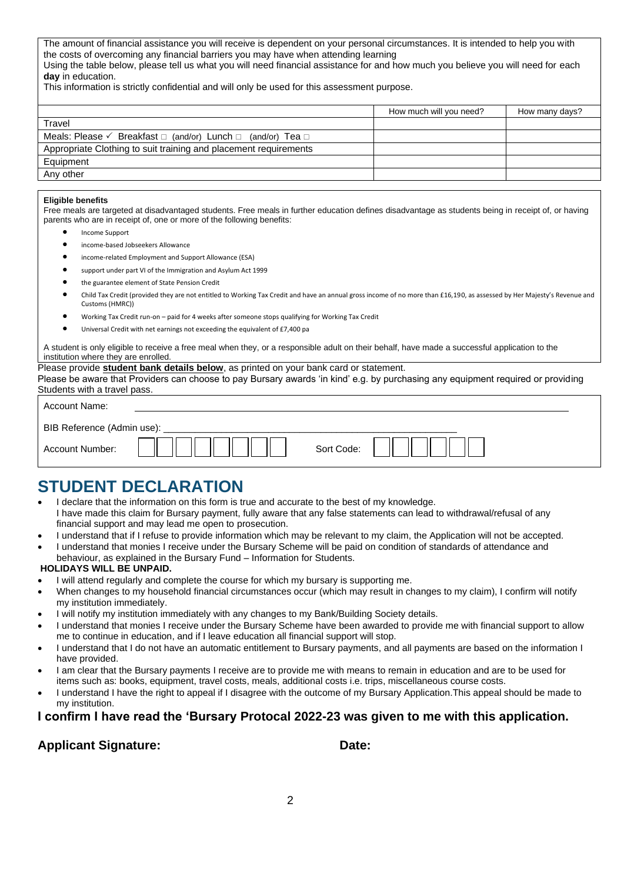The amount of financial assistance you will receive is dependent on your personal circumstances. It is intended to help you with the costs of overcoming any financial barriers you may have when attending learning Using the table below, please tell us what you will need financial assistance for and how much you believe you will need for each **day** in education.

This information is strictly confidential and will only be used for this assessment purpose.

|                                                                                       | How much will you need? | How many days? |
|---------------------------------------------------------------------------------------|-------------------------|----------------|
| Travel                                                                                |                         |                |
| Meals: Please $\checkmark$ Breakfast $\Box$ (and/or) Lunch $\Box$ (and/or) Tea $\Box$ |                         |                |
| Appropriate Clothing to suit training and placement requirements                      |                         |                |
| Equipment                                                                             |                         |                |
| Any other                                                                             |                         |                |

#### **Eligible benefits**

Free meals are targeted at disadvantaged students. Free meals in further education defines disadvantage as students being in receipt of, or having parents who are in receipt of, one or more of the following benefits:

- Income Support
- income-based Jobseekers Allowance
- income-related Employment and Support Allowance (ESA)
- support under part VI of the Immigration and Asylum Act 1999
- the guarantee element of State Pension Credit
- Child Tax Credit (provided they are not entitled to Working Tax Credit and have an annual gross income of no more than £16,190, as assessed by Her Majesty's Revenue and Customs (HMRC))
- Working Tax Credit run-on paid for 4 weeks after someone stops qualifying for Working Tax Credit
- Universal Credit with net earnings not exceeding the equivalent of £7,400 pa

A student is only eligible to receive a free meal when they, or a responsible adult on their behalf, have made a successful application to the institution where they are enrolled.

#### Please provide **student bank details below**, as printed on your bank card or statement.

Please be aware that Providers can choose to pay Bursary awards 'in kind' e.g. by purchasing any equipment required or providing Students with a travel pass.

| Account Name:              |            |
|----------------------------|------------|
| BIB Reference (Admin use): |            |
| Account Number:            | Sort Code: |

## **STUDENT DECLARATION**

- I declare that the information on this form is true and accurate to the best of my knowledge. I have made this claim for Bursary payment, fully aware that any false statements can lead to withdrawal/refusal of any financial support and may lead me open to prosecution.
- I understand that if I refuse to provide information which may be relevant to my claim, the Application will not be accepted.
- I understand that monies I receive under the Bursary Scheme will be paid on condition of standards of attendance and behaviour, as explained in the Bursary Fund – Information for Students.

#### **HOLIDAYS WILL BE UNPAID.**

- I will attend regularly and complete the course for which my bursary is supporting me.
- When changes to my household financial circumstances occur (which may result in changes to my claim), I confirm will notify my institution immediately.
- I will notify my institution immediately with any changes to my Bank/Building Society details.
- I understand that monies I receive under the Bursary Scheme have been awarded to provide me with financial support to allow me to continue in education, and if I leave education all financial support will stop.
- I understand that I do not have an automatic entitlement to Bursary payments, and all payments are based on the information I have provided.
- I am clear that the Bursary payments I receive are to provide me with means to remain in education and are to be used for items such as: books, equipment, travel costs, meals, additional costs i.e. trips, miscellaneous course costs.
- I understand I have the right to appeal if I disagree with the outcome of my Bursary Application.This appeal should be made to my institution.

#### **I confirm I have read the 'Bursary Protocal 2022-23 was given to me with this application.**

### Applicant Signature: Date: